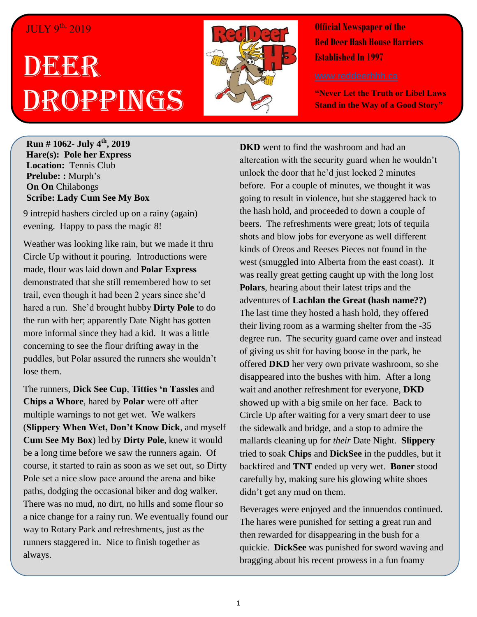## JULY 9th, 2019

## DEGEGR Droppings



**Official Newspaper of the Red Deer Hash House Harriers Established In 1997** 

**"Never Let the Truth or Libel Laws Stand in the Way of a Good Story"**

**Run # 1062- July 4th, 2019 Hare(s): Pole her Express Location:** Tennis Club **Prelube: :** Murph's **On On** Chilabongs **Scribe: Lady Cum See My Box**

**Scribe: Cheap N' Easy** 9 intrepid hashers circled up on a rainy (again) evening. Happy to pass the magic 8!

Weather was looking like rain, but we made it thru Circle Up without it pouring. Introductions were made, flour was laid down and **Polar Express** demonstrated that she still remembered how to set trail, even though it had been 2 years since she'd hared a run. She'd brought hubby **Dirty Pole** to do the run with her; apparently Date Night has gotten more informal since they had a kid. It was a little concerning to see the flour drifting away in the puddles, but Polar assured the runners she wouldn't lose them.

The runners, **Dick See Cup**, **Titties 'n Tassles** and **Chips a Whore**, hared by **Polar** were off after multiple warnings to not get wet. We walkers (**Slippery When Wet, Don't Know Dick**, and myself **Cum See My Box**) led by **Dirty Pole**, knew it would be a long time before we saw the runners again. Of course, it started to rain as soon as we set out, so Dirty Pole set a nice slow pace around the arena and bike paths, dodging the occasional biker and dog walker. There was no mud, no dirt, no hills and some flour so a nice change for a rainy run. We eventually found our way to Rotary Park and refreshments, just as the runners staggered in. Nice to finish together as always.

**DKD** went to find the washroom and had an altercation with the security guard when he wouldn't unlock the door that he'd just locked 2 minutes before. For a couple of minutes, we thought it was going to result in violence, but she staggered back to the hash hold, and proceeded to down a couple of beers. The refreshments were great; lots of tequila shots and blow jobs for everyone as well different kinds of Oreos and Reeses Pieces not found in the west (smuggled into Alberta from the east coast). It was really great getting caught up with the long lost **Polars**, hearing about their latest trips and the adventures of **Lachlan the Great (hash name??)**  The last time they hosted a hash hold, they offered their living room as a warming shelter from the -35 degree run. The security guard came over and instead of giving us shit for having boose in the park, he offered **DKD** her very own private washroom, so she disappeared into the bushes with him. After a long wait and another refreshment for everyone, **DKD** showed up with a big smile on her face. Back to Circle Up after waiting for a very smart deer to use the sidewalk and bridge, and a stop to admire the mallards cleaning up for *their* Date Night. **Slippery** tried to soak **Chips** and **DickSee** in the puddles, but it backfired and **TNT** ended up very wet. **Boner** stood carefully by, making sure his glowing white shoes didn't get any mud on them.

Beverages were enjoyed and the innuendos continued. The hares were punished for setting a great run and then rewarded for disappearing in the bush for a quickie. **DickSee** was punished for sword waving and bragging about his recent prowess in a fun foamy